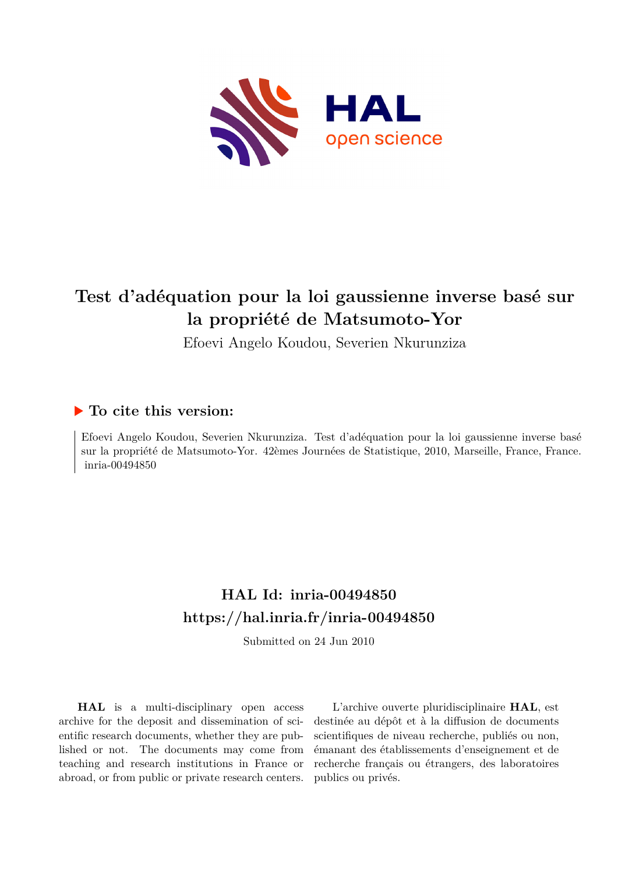

# **Test d'adéquation pour la loi gaussienne inverse basé sur la propriété de Matsumoto-Yor**

Efoevi Angelo Koudou, Severien Nkurunziza

### **To cite this version:**

Efoevi Angelo Koudou, Severien Nkurunziza. Test d'adéquation pour la loi gaussienne inverse basé sur la propriété de Matsumoto-Yor. 42èmes Journées de Statistique, 2010, Marseille, France, France. inria-00494850

## **HAL Id: inria-00494850 <https://hal.inria.fr/inria-00494850>**

Submitted on 24 Jun 2010

**HAL** is a multi-disciplinary open access archive for the deposit and dissemination of scientific research documents, whether they are published or not. The documents may come from teaching and research institutions in France or abroad, or from public or private research centers.

L'archive ouverte pluridisciplinaire **HAL**, est destinée au dépôt et à la diffusion de documents scientifiques de niveau recherche, publiés ou non, émanant des établissements d'enseignement et de recherche français ou étrangers, des laboratoires publics ou privés.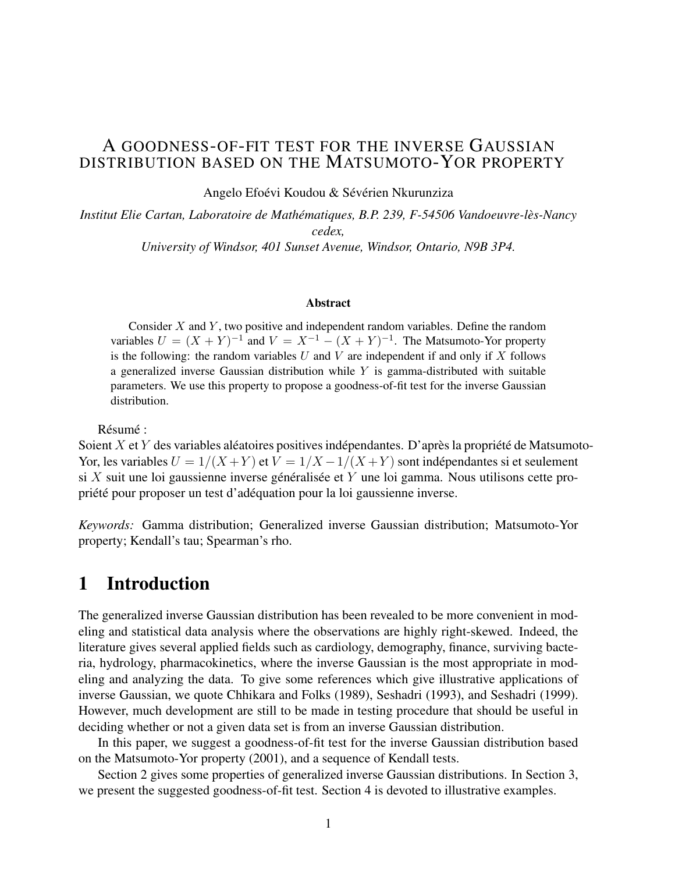### A GOODNESS-OF-FIT TEST FOR THE INVERSE GAUSSIAN DISTRIBUTION BASED ON THE MATSUMOTO-YOR PROPERTY

Angelo Efoévi Koudou & Sévérien Nkurunziza

*Institut Elie Cartan, Laboratoire de Mathématiques, B.P. 239, F-54506 Vandoeuvre-lès-Nancy cedex,*

*University of Windsor, 401 Sunset Avenue, Windsor, Ontario, N9B 3P4.*

#### Abstract

Consider  $X$  and  $Y$ , two positive and independent random variables. Define the random variables  $U = (X + Y)^{-1}$  and  $V = X^{-1} - (X + Y)^{-1}$ . The Matsumoto-Yor property is the following: the random variables  $U$  and  $V$  are independent if and only if  $X$  follows a generalized inverse Gaussian distribution while  $Y$  is gamma-distributed with suitable parameters. We use this property to propose a goodness-of-fit test for the inverse Gaussian distribution.

Résumé :

Soient X et Y des variables aléatoires positives indépendantes. D'après la propriété de Matsumoto-Yor, les variables  $U = 1/(X + Y)$  et  $V = 1/X - 1/(X + Y)$  sont indépendantes si et seulement si X suit une loi gaussienne inverse généralisée et Y une loi gamma. Nous utilisons cette propriété pour proposer un test d'adéquation pour la loi gaussienne inverse.

*Keywords:* Gamma distribution; Generalized inverse Gaussian distribution; Matsumoto-Yor property; Kendall's tau; Spearman's rho.

## 1 Introduction

The generalized inverse Gaussian distribution has been revealed to be more convenient in modeling and statistical data analysis where the observations are highly right-skewed. Indeed, the literature gives several applied fields such as cardiology, demography, finance, surviving bacteria, hydrology, pharmacokinetics, where the inverse Gaussian is the most appropriate in modeling and analyzing the data. To give some references which give illustrative applications of inverse Gaussian, we quote Chhikara and Folks (1989), Seshadri (1993), and Seshadri (1999). However, much development are still to be made in testing procedure that should be useful in deciding whether or not a given data set is from an inverse Gaussian distribution.

In this paper, we suggest a goodness-of-fit test for the inverse Gaussian distribution based on the Matsumoto-Yor property (2001), and a sequence of Kendall tests.

Section 2 gives some properties of generalized inverse Gaussian distributions. In Section 3, we present the suggested goodness-of-fit test. Section 4 is devoted to illustrative examples.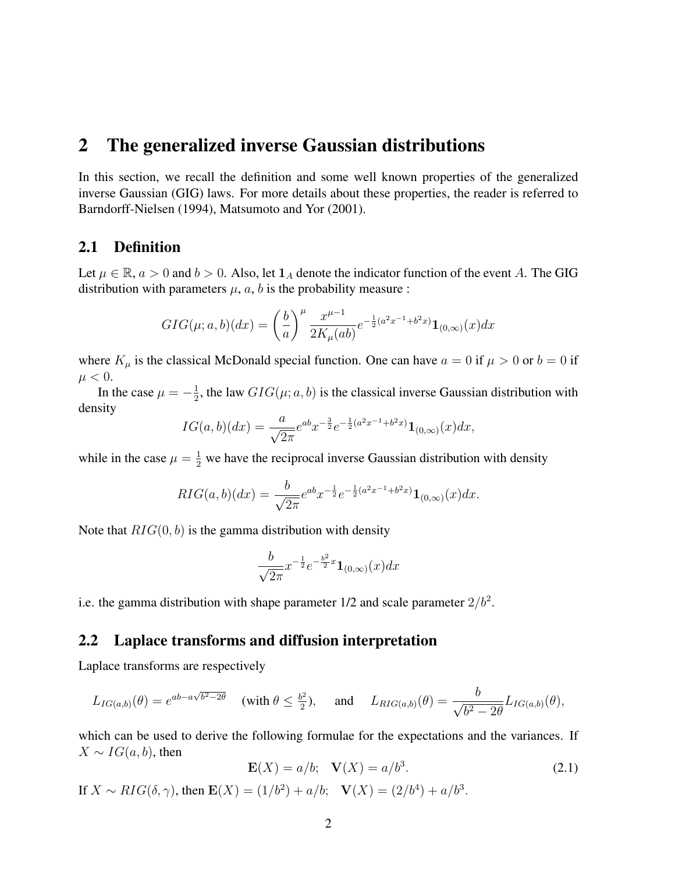### 2 The generalized inverse Gaussian distributions

In this section, we recall the definition and some well known properties of the generalized inverse Gaussian (GIG) laws. For more details about these properties, the reader is referred to Barndorff-Nielsen (1994), Matsumoto and Yor (2001).

#### 2.1 Definition

Let  $\mu \in \mathbb{R}$ ,  $a > 0$  and  $b > 0$ . Also, let  $\mathbf{1}_A$  denote the indicator function of the event A. The GIG distribution with parameters  $\mu$ ,  $a$ ,  $b$  is the probability measure :

$$
GIG(\mu; a, b)(dx) = \left(\frac{b}{a}\right)^{\mu} \frac{x^{\mu-1}}{2K_{\mu}(ab)} e^{-\frac{1}{2}(a^2 x^{-1} + b^2 x)} \mathbf{1}_{(0,\infty)}(x) dx
$$

where  $K_{\mu}$  is the classical McDonald special function. One can have  $a = 0$  if  $\mu > 0$  or  $b = 0$  if  $\mu < 0.$ 

In the case  $\mu = -\frac{1}{2}$  $\frac{1}{2}$ , the law  $GIG(\mu; a, b)$  is the classical inverse Gaussian distribution with density

$$
IG(a,b)(dx) = \frac{a}{\sqrt{2\pi}}e^{ab}x^{-\frac{3}{2}}e^{-\frac{1}{2}(a^2x^{-1}+b^2x)}\mathbf{1}_{(0,\infty)}(x)dx,
$$

while in the case  $\mu = \frac{1}{2}$  we have the reciprocal inverse Gaussian distribution with density

$$
RIG(a,b)(dx) = \frac{b}{\sqrt{2\pi}}e^{ab}x^{-\frac{1}{2}}e^{-\frac{1}{2}(a^2x^{-1}+b^2x)}\mathbf{1}_{(0,\infty)}(x)dx.
$$

Note that  $RIG(0, b)$  is the gamma distribution with density

$$
\frac{b}{\sqrt{2\pi}}x^{-\frac{1}{2}}e^{-\frac{b^2}{2}x}\mathbf{1}_{(0,\infty)}(x)dx
$$

i.e. the gamma distribution with shape parameter  $1/2$  and scale parameter  $2/b^2$ .

#### 2.2 Laplace transforms and diffusion interpretation

Laplace transforms are respectively

$$
L_{IG(a,b)}(\theta) = e^{ab - a\sqrt{b^2 - 2\theta}} \quad \text{(with } \theta \le \frac{b^2}{2}\text{)}, \quad \text{and} \quad L_{RIG(a,b)}(\theta) = \frac{b}{\sqrt{b^2 - 2\theta}} L_{IG(a,b)}(\theta),
$$

which can be used to derive the following formulae for the expectations and the variances. If  $X \sim IG(a, b)$ , then

$$
\mathbf{E}(X) = a/b; \quad \mathbf{V}(X) = a/b^3.
$$
 (2.1)

If  $X \sim RIG(\delta, \gamma)$ , then  $\mathbf{E}(X) = (1/b^2) + a/b$ ;  $\mathbf{V}(X) = (2/b^4) + a/b^3$ .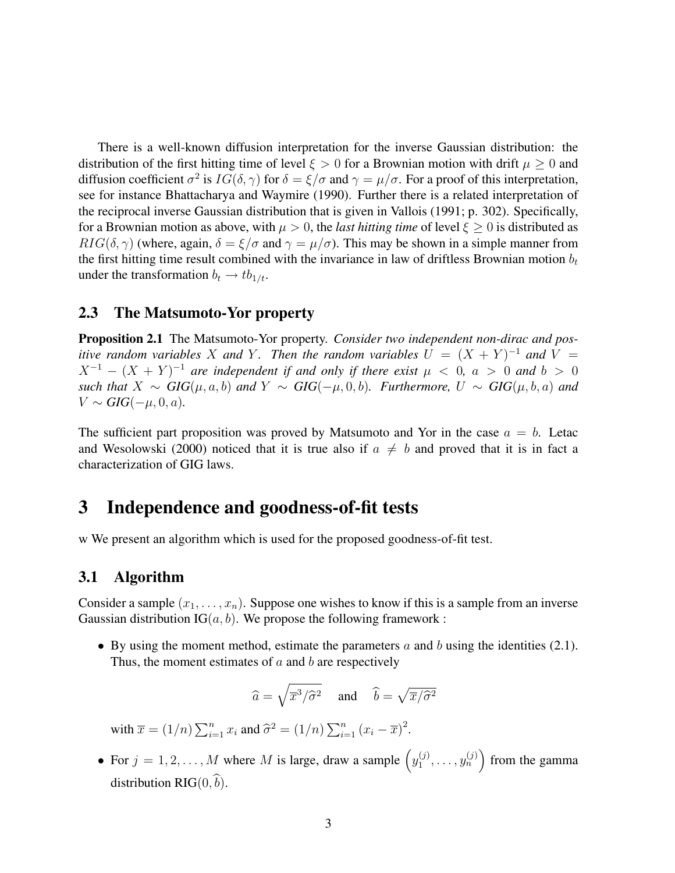There is a well-known diffusion interpretation for the inverse Gaussian distribution: the distribution of the first hitting time of level  $\xi > 0$  for a Brownian motion with drift  $\mu \geq 0$  and diffusion coefficient  $\sigma^2$  is  $IG(\delta, \gamma)$  for  $\delta = \xi/\sigma$  and  $\gamma = \mu/\sigma$ . For a proof of this interpretation, see for instance Bhattacharya and Waymire (1990). Further there is a related interpretation of the reciprocal inverse Gaussian distribution that is given in Vallois (1991; p. 302). Specifically, for a Brownian motion as above, with  $\mu > 0$ , the *last hitting time* of level  $\xi \geq 0$  is distributed as  $RIG(\delta, \gamma)$  (where, again,  $\delta = \xi/\sigma$  and  $\gamma = \mu/\sigma$ ). This may be shown in a simple manner from the first hitting time result combined with the invariance in law of driftless Brownian motion  $b_t$ under the transformation  $b_t \rightarrow t b_{1/t}$ .

#### 2.3 The Matsumoto-Yor property

Proposition 2.1 The Matsumoto-Yor property. *Consider two independent non-dirac and positive random variables* X and Y. Then the random variables  $U = (X + Y)^{-1}$  and V =  $X^{-1} - (X + Y)^{-1}$  are independent if and only if there exist  $\mu < 0$ ,  $a > 0$  and  $b > 0$ *such that*  $X \sim GIG(\mu, a, b)$  *and*  $Y \sim GIG(-\mu, 0, b)$ *. Furthermore,*  $U \sim GIG(\mu, b, a)$  *and*  $V \sim GIG(-\mu, 0, a)$ .

The sufficient part proposition was proved by Matsumoto and Yor in the case  $a = b$ . Letac and Wesolowski (2000) noticed that it is true also if  $a \neq b$  and proved that it is in fact a characterization of GIG laws.

### 3 Independence and goodness-of-fit tests

w We present an algorithm which is used for the proposed goodness-of-fit test.

#### 3.1 Algorithm

Consider a sample  $(x_1, \ldots, x_n)$ . Suppose one wishes to know if this is a sample from an inverse Gaussian distribution  $IG(a, b)$ . We propose the following framework :

• By using the moment method, estimate the parameters  $a$  and  $b$  using the identities (2.1). Thus, the moment estimates of  $a$  and  $b$  are respectively

$$
\widehat{a} = \sqrt{\overline{x}^3/\widehat{\sigma}^2}
$$
 and  $\widehat{b} = \sqrt{\overline{x}/\widehat{\sigma}^2}$ 

with  $\overline{x} = (1/n) \sum_{i=1}^n x_i$  and  $\widehat{\sigma}^2 = (1/n) \sum_{i=1}^n (x_i - \overline{x})^2$ .

• For  $j = 1, 2, ..., M$  where M is large, draw a sample  $\left(y_1^{(j)}\right)$  $\left(\begin{matrix} (j) \\ 1 \end{matrix}\right)$ , ...,  $y_n^{(j)}$  from the gamma distribution RIG $(0,\hat{b})$ .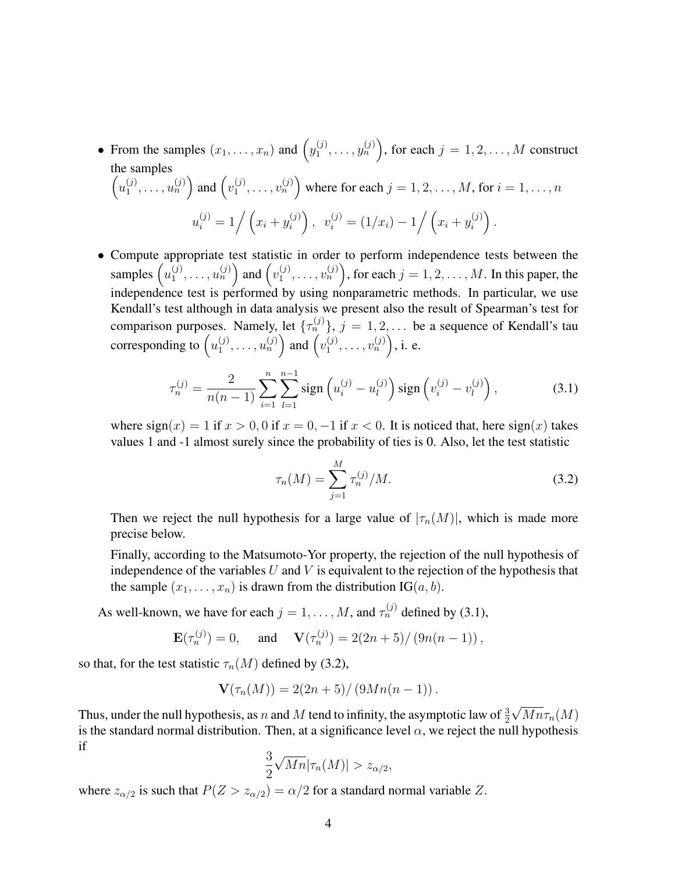- From the samples  $(x_1, \ldots, x_n)$  and  $\left(y_1^{(j)}\right)$  $\binom{(j)}{1}, \ldots, \binom{(j)}{n}$ , for each  $j = 1, 2, \ldots, M$  construct the samples  $\left(u_1^{(j)}\right)$  $\left\{ \begin{matrix} (j) \\ 1 \end{matrix}, \ldots, u_n^{(j)} \right\}$  and  $\left\{ v_1^{(j)} \right\}$  $\mathbf{I}_{1}^{(j)}, \ldots, \mathbf{v}_{n}^{(j)}$  where for each  $j = 1, 2, \ldots, M$ , for  $i = 1, \ldots, n$  $u_i^{(j)} = 1 / (x_i + y_i^{(j)})$  $\left(v_i^{(j)}\right),\;\; v_i^{(j)} = \left(1/x_i\right) - 1 \bigg/\left(x_i + y_i^{(j)}\right)$  $\binom{(j)}{i}$ .
- Compute appropriate test statistic in order to perform independence tests between the samples  $\left(u_1^{(j)}\right)$  $\left\{ \begin{matrix} (j) \\ 1 \end{matrix}, \ldots, u_n^{(j)} \right\}$  and  $\left\{ v_1^{(j)} \right\}$  $\binom{(j)}{1}, \ldots, \binom{(j)}{n}$ , for each  $j = 1, 2, \ldots, M$ . In this paper, the independence test is performed by using nonparametric methods. In particular, we use Kendall's test although in data analysis we present also the result of Spearman's test for comparison purposes. Namely, let  $\{\tau_n^{(j)}\}, j = 1, 2, \ldots$  be a sequence of Kendall's tau corresponding to  $\left(u_1^{(j)}\right)$  $\left\{ \begin{matrix} (j) \\ 1 \end{matrix}, \ldots, u_n^{(j)} \right\}$  and  $\left\{ v_1^{(j)} \right\}$  $v_1^{(j)}, \ldots, v_n^{(j)}\Big)$ , i. e.

$$
\tau_n^{(j)} = \frac{2}{n(n-1)} \sum_{i=1}^n \sum_{l=1}^{n-1} \text{sign}\left(u_i^{(j)} - u_l^{(j)}\right) \text{sign}\left(v_i^{(j)} - v_l^{(j)}\right),\tag{3.1}
$$

where  $sign(x) = 1$  if  $x > 0, 0$  if  $x = 0, -1$  if  $x < 0$ . It is noticed that, here  $sign(x)$  takes values 1 and -1 almost surely since the probability of ties is 0. Also, let the test statistic

$$
\tau_n(M) = \sum_{j=1}^M \tau_n^{(j)}/M.
$$
\n(3.2)

Then we reject the null hypothesis for a large value of  $|\tau_n(M)|$ , which is made more precise below.

Finally, according to the Matsumoto-Yor property, the rejection of the null hypothesis of independence of the variables  $U$  and  $V$  is equivalent to the rejection of the hypothesis that the sample  $(x_1, \ldots, x_n)$  is drawn from the distribution IG $(a, b)$ .

As well-known, we have for each  $j = 1, ..., M$ , and  $\tau_n^{(j)}$  defined by (3.1),

$$
\mathbf{E}(\tau_n^{(j)}) = 0, \quad \text{and} \quad \mathbf{V}(\tau_n^{(j)}) = 2(2n+5)/\left(9n(n-1)\right),
$$

so that, for the test statistic  $\tau_n(M)$  defined by (3.2),

$$
\mathbf{V}(\tau_n(M)) = 2(2n+5)/(9Mn(n-1)).
$$

Thus, under the null hypothesis, as n and M tend to infinity, the asymptotic law of  $\frac{3}{2}$ √  $Mn\tau_n(M)$ is the standard normal distribution. Then, at a significance level  $\alpha$ , we reject the null hypothesis if

$$
\frac{3}{2}\sqrt{Mn}|\tau_n(M)| > z_{\alpha/2},
$$

where  $z_{\alpha/2}$  is such that  $P(Z > z_{\alpha/2}) = \alpha/2$  for a standard normal variable Z.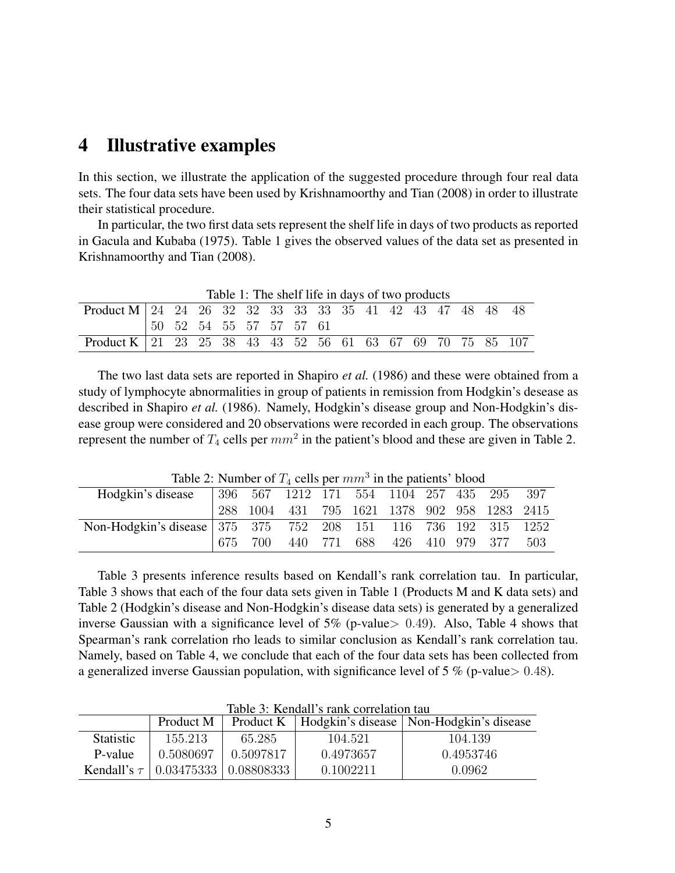### 4 Illustrative examples

In this section, we illustrate the application of the suggested procedure through four real data sets. The four data sets have been used by Krishnamoorthy and Tian (2008) in order to illustrate their statistical procedure.

In particular, the two first data sets represent the shelf life in days of two products as reported in Gacula and Kubaba (1975). Table 1 gives the observed values of the data set as presented in Krishnamoorthy and Tian (2008).

| Table 1: The shelf life in days of two products            |  |  |  |  |                         |  |  |  |  |  |  |  |
|------------------------------------------------------------|--|--|--|--|-------------------------|--|--|--|--|--|--|--|
| Product M 24 24 26 32 32 33 33 33 35 41 42 43 47 48 48 48  |  |  |  |  |                         |  |  |  |  |  |  |  |
|                                                            |  |  |  |  | 50 52 54 55 57 57 57 61 |  |  |  |  |  |  |  |
| Product K 21 23 25 38 43 43 52 56 61 63 67 69 70 75 85 107 |  |  |  |  |                         |  |  |  |  |  |  |  |

The two last data sets are reported in Shapiro *et al.* (1986) and these were obtained from a study of lymphocyte abnormalities in group of patients in remission from Hodgkin's desease as described in Shapiro *et al.* (1986). Namely, Hodgkin's disease group and Non-Hodgkin's disease group were considered and 20 observations were recorded in each group. The observations represent the number of  $T_4$  cells per  $mm^2$  in the patient's blood and these are given in Table 2.

| rable 2. Funnoci of $T_4$ cens per <i>none</i> in the patients blood |  |     |                                              |  |  |                                 |  |  |  |
|----------------------------------------------------------------------|--|-----|----------------------------------------------|--|--|---------------------------------|--|--|--|
| Hodgkin's disease                                                    |  |     | 396 567 1212 171 554 1104 257 435 295 397    |  |  |                                 |  |  |  |
|                                                                      |  |     | 288 1004 431 795 1621 1378 902 958 1283 2415 |  |  |                                 |  |  |  |
| Non-Hodgkin's disease 375 375 752 208 151 116 736 192 315 1252       |  |     |                                              |  |  |                                 |  |  |  |
|                                                                      |  | 700 |                                              |  |  | 440 771 688 426 410 979 377 503 |  |  |  |

Table 2: Number of  $T_4$  cells per  $mm^3$  in the patients' blood

Table 3 presents inference results based on Kendall's rank correlation tau. In particular, Table 3 shows that each of the four data sets given in Table 1 (Products M and K data sets) and Table 2 (Hodgkin's disease and Non-Hodgkin's disease data sets) is generated by a generalized inverse Gaussian with a significance level of  $5\%$  (p-value  $> 0.49$ ). Also, Table 4 shows that Spearman's rank correlation rho leads to similar conclusion as Kendall's rank correlation tau. Namely, based on Table 4, we conclude that each of the four data sets has been collected from a generalized inverse Gaussian population, with significance level of 5  $\%$  (p-value  $> 0.48$ ).

|                  | Product M                                  |           |           | Product K   Hodgkin's disease   Non-Hodgkin's disease |
|------------------|--------------------------------------------|-----------|-----------|-------------------------------------------------------|
| <b>Statistic</b> | 155.213                                    | 65.285    | 104.521   | 104.139                                               |
| P-value          | 0.5080697                                  | 0.5097817 | 0.4973657 | 0.4953746                                             |
|                  | Kendall's $\tau$   0.03475333   0.08808333 |           | 0.1002211 | 0.0962                                                |

Table 3: Kendall's rank correlation tau